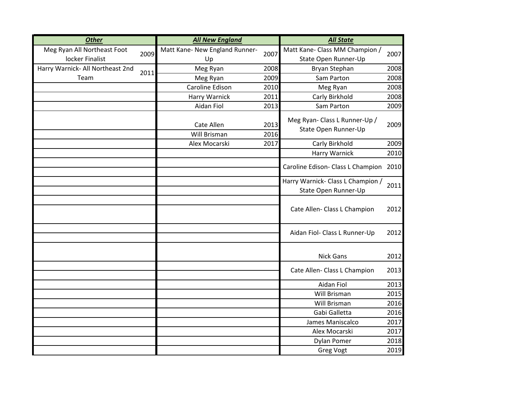| <b>Other</b>                     |      | <b>All New England</b>                 | <b>All State</b> |                                                           |      |  |
|----------------------------------|------|----------------------------------------|------------------|-----------------------------------------------------------|------|--|
| Meg Ryan All Northeast Foot      | 2009 | Matt Kane- New England Runner-<br>2007 |                  | Matt Kane- Class MM Champion /                            | 2007 |  |
| locker Finalist                  |      | Up                                     |                  | State Open Runner-Up                                      |      |  |
| Harry Warnick- All Northeast 2nd | 2011 | Meg Ryan                               | 2008             | Bryan Stephan                                             | 2008 |  |
| Team                             |      | Meg Ryan                               | 2009             | Sam Parton                                                | 2008 |  |
|                                  |      | Caroline Edison                        | 2010             | Meg Ryan                                                  | 2008 |  |
|                                  |      | Harry Warnick                          | 2011             | Carly Birkhold                                            | 2008 |  |
|                                  |      | Aidan Fiol                             | 2013             | Sam Parton                                                | 2009 |  |
|                                  |      | Cate Allen<br>Will Brisman             | 2013<br>2016     | Meg Ryan- Class L Runner-Up /<br>State Open Runner-Up     | 2009 |  |
|                                  |      | Alex Mocarski                          | 2017             | Carly Birkhold                                            | 2009 |  |
|                                  |      |                                        |                  | <b>Harry Warnick</b>                                      | 2010 |  |
|                                  |      |                                        |                  | Caroline Edison- Class L Champion                         | 2010 |  |
|                                  |      |                                        |                  | Harry Warnick- Class L Champion /<br>State Open Runner-Up | 2011 |  |
|                                  |      |                                        |                  | Cate Allen- Class L Champion                              | 2012 |  |
|                                  |      |                                        |                  | Aidan Fiol- Class L Runner-Up                             | 2012 |  |
|                                  |      |                                        |                  | <b>Nick Gans</b>                                          | 2012 |  |
|                                  |      |                                        |                  | Cate Allen- Class L Champion                              | 2013 |  |
|                                  |      |                                        |                  | Aidan Fiol                                                | 2013 |  |
|                                  |      |                                        |                  | <b>Will Brisman</b>                                       | 2015 |  |
|                                  |      |                                        |                  | Will Brisman                                              | 2016 |  |
|                                  |      |                                        |                  | Gabi Galletta                                             |      |  |
|                                  |      |                                        |                  | James Maniscalco                                          | 2017 |  |
|                                  |      |                                        |                  | Alex Mocarski                                             | 2017 |  |
|                                  |      |                                        |                  | <b>Dylan Pomer</b>                                        | 2018 |  |
|                                  |      |                                        |                  | <b>Greg Vogt</b>                                          | 2019 |  |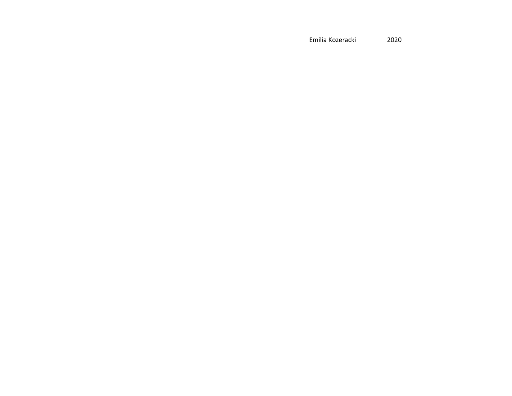Emilia Kozeracki 2020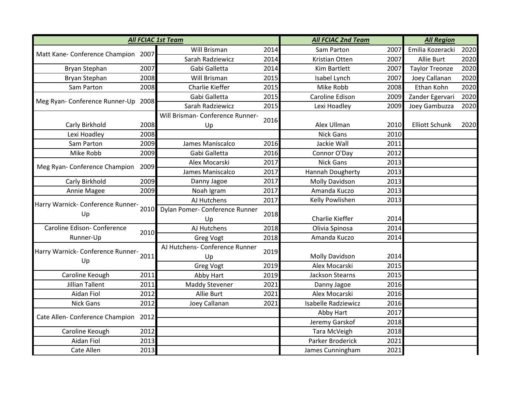| <b>All FCIAC 1st Team</b>                       |      |                                  |      | <b>All FCIAC 2nd Team</b>  | <b>All Region</b> |                       |      |
|-------------------------------------------------|------|----------------------------------|------|----------------------------|-------------------|-----------------------|------|
| Matt Kane- Conference Champion 2007             |      | Will Brisman                     | 2014 | Sam Parton                 | 2007              | Emilia Kozeracki      | 2020 |
|                                                 |      | Sarah Radziewicz                 | 2014 | Kristian Otten             | 2007              | Allie Burt            | 2020 |
| Bryan Stephan                                   | 2007 | Gabi Galletta                    | 2014 | Kim Bartlett               | 2007              | <b>Taylor Treonze</b> | 2020 |
| Bryan Stephan                                   | 2008 | Will Brisman                     | 2015 | Isabel Lynch               | 2007              | Joey Callanan         | 2020 |
| Sam Parton                                      | 2008 | <b>Charlie Kieffer</b>           | 2015 | Mike Robb                  | 2008              | Ethan Kohn            | 2020 |
| Meg Ryan- Conference Runner-Up 2008             |      | Gabi Galletta                    | 2015 | Caroline Edison            | 2009              | Zander Egervari       | 2020 |
|                                                 |      | Sarah Radziewicz                 | 2015 | Lexi Hoadley               | 2009              | Joey Gambuzza         | 2020 |
|                                                 |      | Will Brisman- Conference Runner- | 2016 |                            |                   |                       |      |
| Carly Birkhold                                  | 2008 | Up                               |      | Alex Ullman                | 2010              | <b>Elliott Schunk</b> | 2020 |
| Lexi Hoadley                                    | 2008 |                                  |      | <b>Nick Gans</b>           | 2010              |                       |      |
| Sam Parton                                      | 2009 | James Maniscalco                 | 2016 | Jackie Wall                | 2011              |                       |      |
| Mike Robb                                       | 2009 | Gabi Galletta                    | 2016 | Connor O'Day               | 2012              |                       |      |
| Meg Ryan- Conference Champion                   | 2009 | Alex Mocarski                    | 2017 | <b>Nick Gans</b>           | 2013              |                       |      |
|                                                 |      | James Maniscalco                 | 2017 | Hannah Dougherty           | 2013              |                       |      |
| Carly Birkhold                                  | 2009 | Danny Jagoe                      | 2017 | Molly Davidson             | 2013              |                       |      |
| Annie Magee                                     | 2009 | Noah Igram                       | 2017 | Amanda Kuczo               | 2013              |                       |      |
| Harry Warnick- Conference Runner-<br>Up         | 2010 | AJ Hutchens                      | 2017 | Kelly Powlishen            | 2013              |                       |      |
|                                                 |      | Dylan Pomer- Conference Runner   | 2018 |                            |                   |                       |      |
|                                                 |      | Up                               |      | Charlie Kieffer            | 2014              |                       |      |
| Caroline Edison- Conference<br>Runner-Up        | 2010 | AJ Hutchens                      | 2018 | Olivia Spinosa             | 2014              |                       |      |
|                                                 |      | <b>Greg Vogt</b>                 | 2018 | Amanda Kuczo               | 2014              |                       |      |
| Harry Warnick- Conference Runner-<br>2011<br>Up |      | AJ Hutchens- Conference Runner   | 2019 |                            |                   |                       |      |
|                                                 |      | Up                               |      | <b>Molly Davidson</b>      | 2014              |                       |      |
|                                                 |      | <b>Greg Vogt</b>                 | 2019 | Alex Mocarski              | 2015              |                       |      |
| Caroline Keough                                 | 2011 | Abby Hart                        | 2019 | <b>Jackson Stearns</b>     | 2015              |                       |      |
| <b>Jillian Tallent</b>                          | 2011 | <b>Maddy Stevener</b>            | 2021 | Danny Jagoe                | 2016              |                       |      |
| <b>Aidan Fiol</b>                               | 2012 | Allie Burt                       | 2021 | Alex Mocarski              | 2016              |                       |      |
| <b>Nick Gans</b>                                | 2012 | Joey Callanan                    | 2021 | <b>Isabelle Radziewicz</b> | 2016              |                       |      |
| Cate Allen-Conference Champion 2012             |      |                                  |      | Abby Hart                  | 2017              |                       |      |
|                                                 |      |                                  |      | Jeremy Garskof             | 2018              |                       |      |
| Caroline Keough                                 | 2012 |                                  |      | Tara McVeigh               | 2018              |                       |      |
| Aidan Fiol                                      | 2013 |                                  |      | Parker Broderick           | 2021              |                       |      |
| Cate Allen                                      | 2013 |                                  |      | James Cunningham           | 2021              |                       |      |